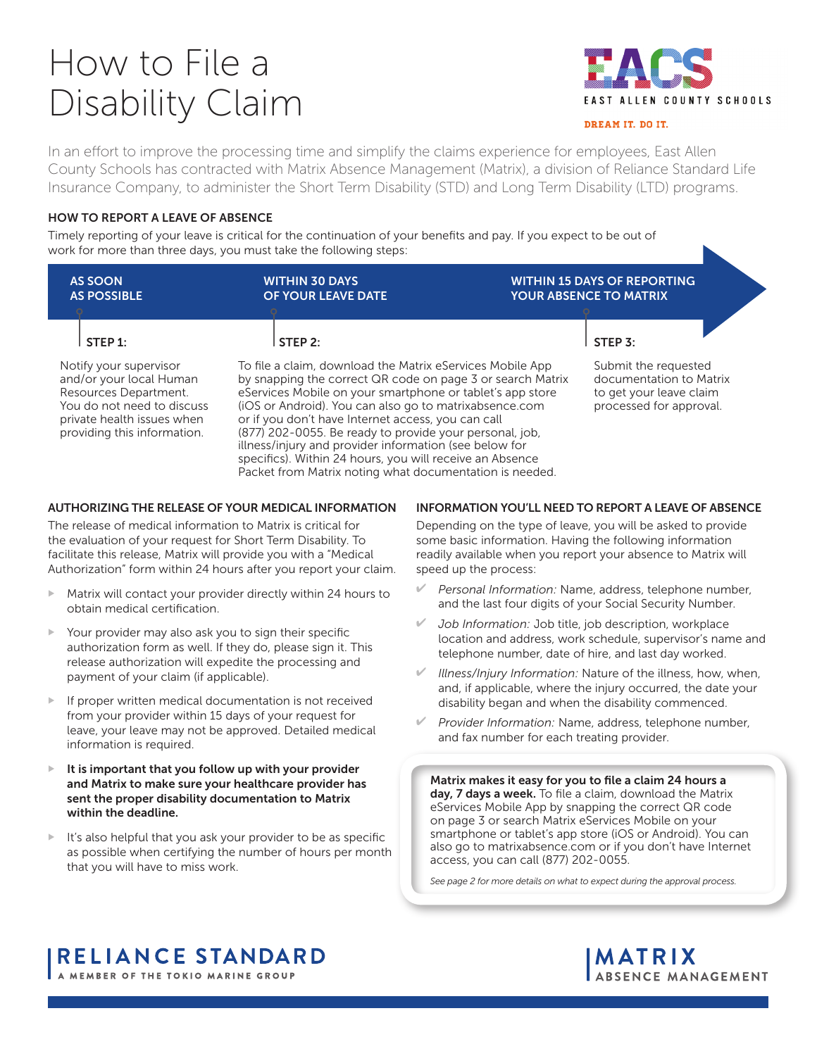# How to File a Disability Claim



In an effort to improve the processing time and simplify the claims experience for employees, East Allen County Schools has contracted with Matrix Absence Management (Matrix), a division of Reliance Standard Life Insurance Company, to administer the Short Term Disability (STD) and Long Term Disability (LTD) programs.

# HOW TO REPORT A LEAVE OF ABSENCE

Timely reporting of your leave is critical for the continuation of your benefits and pay. If you expect to be out of work for more than three days, you must take the following steps:

| AS SOON<br><b>AS POSSIBLE</b>                                                                                                                                         | <b>WITHIN 30 DAYS</b><br>OF YOUR LEAVE DATE                                                                                                                                                                                                                                                                                                                                                                                                                                                                                                      | <b>WITHIN 15 DAYS OF REPORTING</b><br><b>YOUR ABSENCE TO MATRIX</b>                                   |
|-----------------------------------------------------------------------------------------------------------------------------------------------------------------------|--------------------------------------------------------------------------------------------------------------------------------------------------------------------------------------------------------------------------------------------------------------------------------------------------------------------------------------------------------------------------------------------------------------------------------------------------------------------------------------------------------------------------------------------------|-------------------------------------------------------------------------------------------------------|
| STEP <sub>1:</sub>                                                                                                                                                    | STEP <sub>2:</sub>                                                                                                                                                                                                                                                                                                                                                                                                                                                                                                                               | STEP 3:                                                                                               |
| Notify your supervisor<br>and/or your local Human<br>Resources Department.<br>You do not need to discuss<br>private health issues when<br>providing this information. | To file a claim, download the Matrix eServices Mobile App<br>by snapping the correct QR code on page 3 or search Matrix<br>eServices Mobile on your smartphone or tablet's app store<br>(iOS or Android). You can also go to matrixabsence.com<br>or if you don't have Internet access, you can call<br>(877) 202-0055. Be ready to provide your personal, job,<br>illness/injury and provider information (see below for<br>specifics). Within 24 hours, you will receive an Absence<br>Packet from Matrix noting what documentation is needed. | Submit the requested<br>documentation to Matrix<br>to get your leave claim<br>processed for approval. |

# AUTHORIZING THE RELEASE OF YOUR MEDICAL INFORMATION

The release of medical information to Matrix is critical for the evaluation of your request for Short Term Disability. To facilitate this release, Matrix will provide you with a "Medical Authorization" form within 24 hours after you report your claim.

- $\blacktriangleright$  Matrix will contact your provider directly within 24 hours to obtain medical certification.
- $\blacktriangleright$  Your provider may also ask you to sign their specific authorization form as well. If they do, please sign it. This release authorization will expedite the processing and payment of your claim (if applicable).
- $\blacktriangleright$  If proper written medical documentation is not received from your provider within 15 days of your request for leave, your leave may not be approved. Detailed medical information is required.
- $\blacktriangleright$  It is important that you follow up with your provider and Matrix to make sure your healthcare provider has sent the proper disability documentation to Matrix within the deadline.
- $\blacktriangleright$  It's also helpful that you ask your provider to be as specific as possible when certifying the number of hours per month that you will have to miss work.

# INFORMATION YOU'LL NEED TO REPORT A LEAVE OF ABSENCE

Depending on the type of leave, you will be asked to provide some basic information. Having the following information readily available when you report your absence to Matrix will speed up the process:

- 4 *Personal Information:* Name, address, telephone number, and the last four digits of your Social Security Number.
- 4 *Job Information:* Job title, job description, workplace location and address, work schedule, supervisor's name and telephone number, date of hire, and last day worked.
- 4 *Illness/Injury Information:* Nature of the illness, how, when, and, if applicable, where the injury occurred, the date your disability began and when the disability commenced.
- 4 *Provider Information:* Name, address, telephone number, and fax number for each treating provider.

Matrix makes it easy for you to file a claim 24 hours a day, 7 days a week. To file a claim, download the Matrix eServices Mobile App by snapping the correct QR code on page 3 or search Matrix eServices Mobile on your smartphone or tablet's app store (iOS or Android). You can also go to matrixabsence.com or if you don't have Internet access, you can call (877) 202-0055.

*See page 2 for more details on what to expect during the approval process.*

# **RELIANCE STANDARD** MEMBER OF THE TOKIO MARINE GROUP

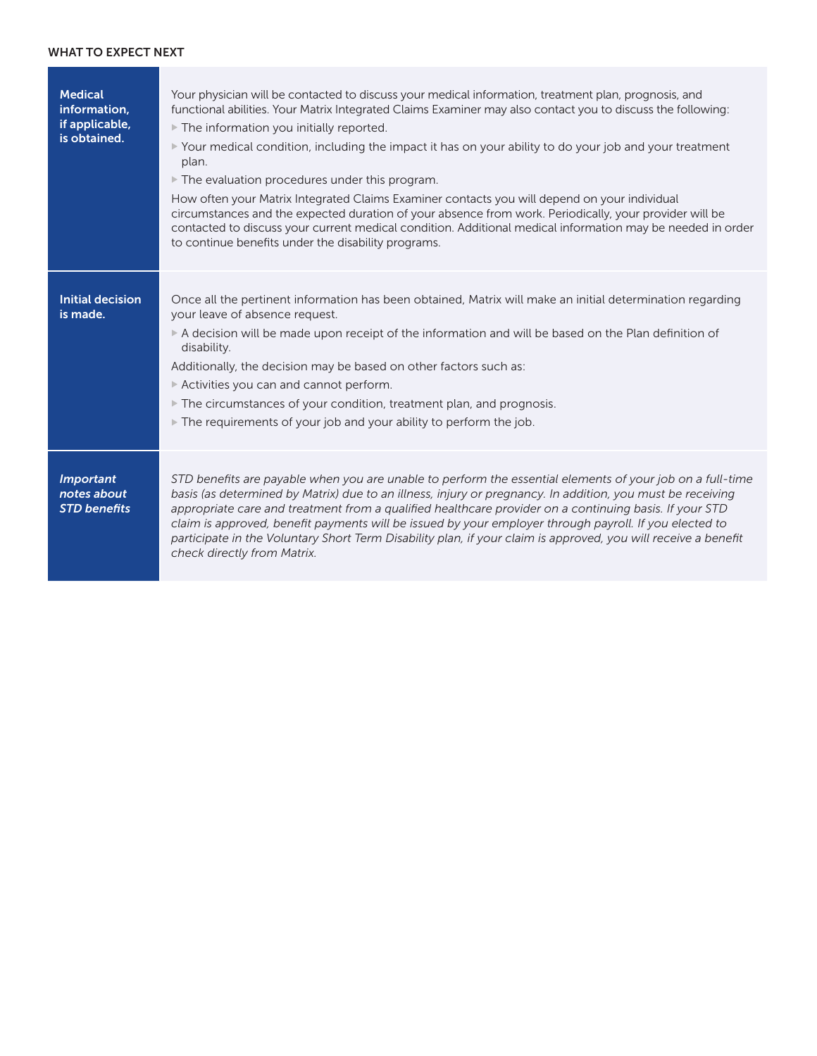# WHAT TO EXPECT NEXT

| <b>Medical</b><br>information.<br>if applicable,<br>is obtained. | Your physician will be contacted to discuss your medical information, treatment plan, prognosis, and<br>functional abilities. Your Matrix Integrated Claims Examiner may also contact you to discuss the following:<br>$\triangleright$ The information you initially reported.<br>▶ Your medical condition, including the impact it has on your ability to do your job and your treatment<br>plan.<br>$\triangleright$ The evaluation procedures under this program.<br>How often your Matrix Integrated Claims Examiner contacts you will depend on your individual<br>circumstances and the expected duration of your absence from work. Periodically, your provider will be<br>contacted to discuss your current medical condition. Additional medical information may be needed in order<br>to continue benefits under the disability programs. |
|------------------------------------------------------------------|------------------------------------------------------------------------------------------------------------------------------------------------------------------------------------------------------------------------------------------------------------------------------------------------------------------------------------------------------------------------------------------------------------------------------------------------------------------------------------------------------------------------------------------------------------------------------------------------------------------------------------------------------------------------------------------------------------------------------------------------------------------------------------------------------------------------------------------------------|
| <b>Initial decision</b><br>is made.                              | Once all the pertinent information has been obtained, Matrix will make an initial determination regarding<br>your leave of absence request.<br>$\triangleright$ A decision will be made upon receipt of the information and will be based on the Plan definition of<br>disability.<br>Additionally, the decision may be based on other factors such as:<br>Activities you can and cannot perform.<br>$\triangleright$ The circumstances of your condition, treatment plan, and prognosis.<br>$\triangleright$ The requirements of your job and your ability to perform the job.                                                                                                                                                                                                                                                                      |
| <b>Important</b><br>notes about<br><b>STD benefits</b>           | STD benefits are payable when you are unable to perform the essential elements of your job on a full-time<br>basis (as determined by Matrix) due to an illness, injury or pregnancy. In addition, you must be receiving<br>appropriate care and treatment from a qualified healthcare provider on a continuing basis. If your STD<br>claim is approved, benefit payments will be issued by your employer through payroll. If you elected to<br>participate in the Voluntary Short Term Disability plan, if your claim is approved, you will receive a benefit<br>check directly from Matrix.                                                                                                                                                                                                                                                         |